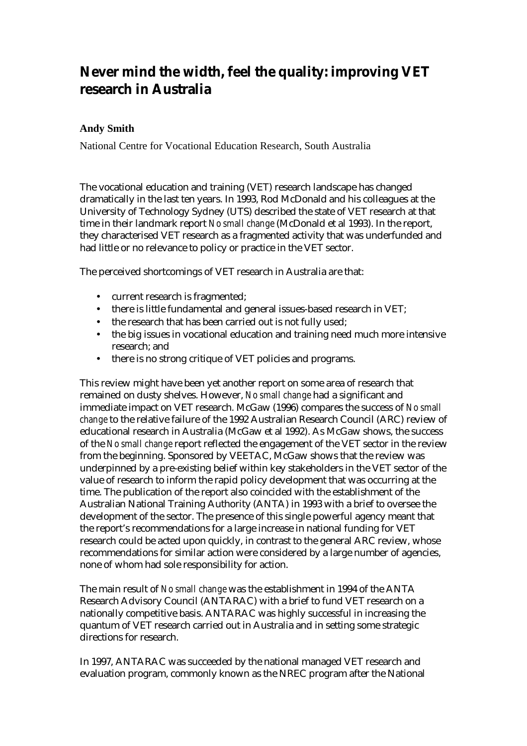# **Never mind the width, feel the quality: improving VET research in Australia**

#### **Andy Smith**

National Centre for Vocational Education Research, South Australia

The vocational education and training (VET) research landscape has changed dramatically in the last ten years. In 1993, Rod McDonald and his colleagues at the University of Technology Sydney (UTS) described the state of VET research at that time in their landmark report *No small change* (McDonald et al 1993). In the report, they characterised VET research as a fragmented activity that was underfunded and had little or no relevance to policy or practice in the VET sector.

The perceived shortcomings of VET research in Australia are that:

- current research is fragmented;
- there is little fundamental and general issues-based research in VET;
- the research that has been carried out is not fully used;
- the big issues in vocational education and training need much more intensive research; and
- there is no strong critique of VET policies and programs.

This review might have been yet another report on some area of research that remained on dusty shelves. However, *No small change* had a significant and immediate impact on VET research. McGaw (1996) compares the success of *No small change* to the relative failure of the 1992 Australian Research Council (ARC) review of educational research in Australia (McGaw et al 1992). As McGaw shows, the success of the *No small change* report reflected the engagement of the VET sector in the review from the beginning. Sponsored by VEETAC, McGaw shows that the review was underpinned by a pre-existing belief within key stakeholders in the VET sector of the value of research to inform the rapid policy development that was occurring at the time. The publication of the report also coincided with the establishment of the Australian National Training Authority (ANTA) in 1993 with a brief to oversee the development of the sector. The presence of this single powerful agency meant that the report's recommendations for a large increase in national funding for VET research could be acted upon quickly, in contrast to the general ARC review, whose recommendations for similar action were considered by a large number of agencies, none of whom had sole responsibility for action.

The main result of *No small change* was the establishment in 1994 of the ANTA Research Advisory Council (ANTARAC) with a brief to fund VET research on a nationally competitive basis. ANTARAC was highly successful in increasing the quantum of VET research carried out in Australia and in setting some strategic directions for research.

In 1997, ANTARAC was succeeded by the national managed VET research and evaluation program, commonly known as the NREC program after the National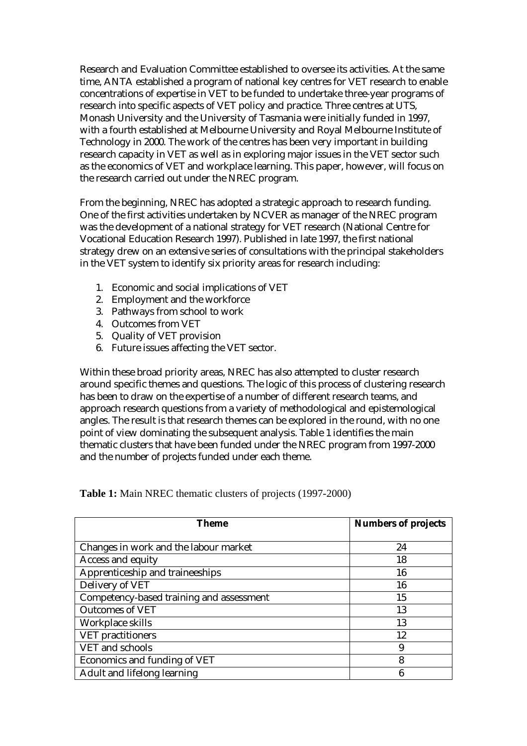Research and Evaluation Committee established to oversee its activities. At the same time, ANTA established a program of national key centres for VET research to enable concentrations of expertise in VET to be funded to undertake three-year programs of research into specific aspects of VET policy and practice. Three centres at UTS, Monash University and the University of Tasmania were initially funded in 1997, with a fourth established at Melbourne University and Royal Melbourne Institute of Technology in 2000. The work of the centres has been very important in building research capacity in VET as well as in exploring major issues in the VET sector such as the economics of VET and workplace learning. This paper, however, will focus on the research carried out under the NREC program.

From the beginning, NREC has adopted a strategic approach to research funding. One of the first activities undertaken by NCVER as manager of the NREC program was the development of a national strategy for VET research (National Centre for Vocational Education Research 1997). Published in late 1997, the first national strategy drew on an extensive series of consultations with the principal stakeholders in the VET system to identify six priority areas for research including:

- 1. Economic and social implications of VET
- 2. Employment and the workforce
- 3. Pathways from school to work
- 4. Outcomes from VET
- 5. Quality of VET provision
- 6. Future issues affecting the VET sector.

Within these broad priority areas, NREC has also attempted to cluster research around specific themes and questions. The logic of this process of clustering research has been to draw on the expertise of a number of different research teams, and approach research questions from a variety of methodological and epistemological angles. The result is that research themes can be explored in the round, with no one point of view dominating the subsequent analysis. Table 1 identifies the main thematic clusters that have been funded under the NREC program from 1997-2000 and the number of projects funded under each theme.

| Theme                                    | <b>Numbers of projects</b> |
|------------------------------------------|----------------------------|
|                                          |                            |
| Changes in work and the labour market    | 24                         |
| Access and equity                        | 18                         |
| Apprenticeship and traineeships          | 16                         |
| Delivery of VET                          | 16                         |
| Competency-based training and assessment | 15                         |
| <b>Outcomes of VET</b>                   | 13                         |
| Workplace skills                         | 13                         |
| <b>VET</b> practitioners                 | 12                         |
| VET and schools                          | 9                          |
| Economics and funding of VET             | 8                          |
| Adult and lifelong learning              | 6                          |

**Table 1:** Main NREC thematic clusters of projects (1997-2000)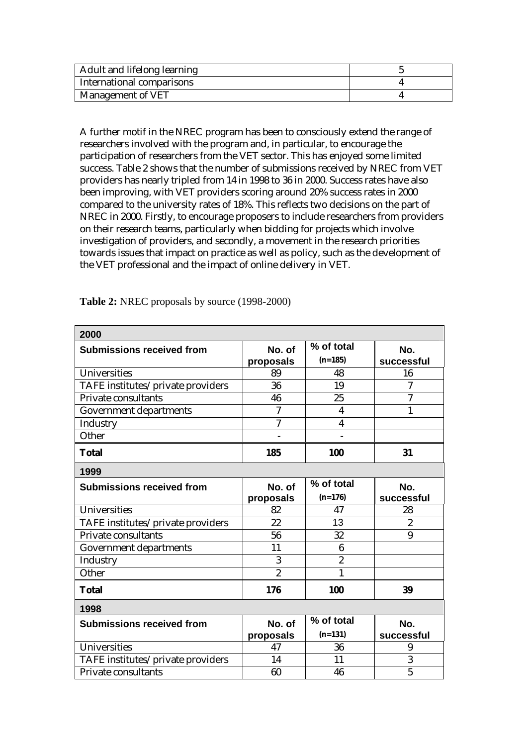| Adult and lifelong learning |  |
|-----------------------------|--|
| International comparisons   |  |
| Management of VET           |  |

A further motif in the NREC program has been to consciously extend the range of researchers involved with the program and, in particular, to encourage the participation of researchers from the VET sector. This has enjoyed some limited success. Table 2 shows that the number of submissions received by NREC from VET providers has nearly tripled from 14 in 1998 to 36 in 2000. Success rates have also been improving, with VET providers scoring around 20% success rates in 2000 compared to the university rates of 18%. This reflects two decisions on the part of NREC in 2000. Firstly, to encourage proposers to include researchers from providers on their research teams, particularly when bidding for projects which involve investigation of providers, and secondly, a movement in the research priorities towards issues that impact on practice as well as policy, such as the development of the VET professional and the impact of online delivery in VET.

| 2000                              |                |                         |                |
|-----------------------------------|----------------|-------------------------|----------------|
| <b>Submissions received from</b>  | No. of         | % of total              | No.            |
|                                   | proposals      | $(n=185)$               | successful     |
| Universities                      | 89             | 48                      | 16             |
| TAFE institutes/private providers | 36             | 19                      | 7              |
| Private consultants               | 46             | 25                      | $\overline{7}$ |
| <b>Government departments</b>     | $\overline{7}$ | 4                       | 1              |
| Industry                          | $\overline{7}$ | $\overline{\mathbf{4}}$ |                |
| Other                             |                |                         |                |
| <b>Total</b>                      | 185            | 100                     | 31             |
| 1999                              |                |                         |                |
| <b>Submissions received from</b>  | No. of         | % of total              | No.            |
|                                   | proposals      | $(n=176)$               | successful     |
| <b>Universities</b>               | 82             | 47                      | 28             |
| TAFE institutes/private providers | 22             | 13                      | $\overline{2}$ |
| Private consultants               | 56             | 32                      | 9              |
| Government departments            | 11             | 6                       |                |
| Industry                          | 3              | $\overline{c}$          |                |
| Other                             | $\overline{2}$ | 1                       |                |
| <b>Total</b>                      | 176            | 100                     | 39             |
| 1998                              |                |                         |                |
| <b>Submissions received from</b>  | No. of         | % of total              | No.            |
|                                   | proposals      | $(n=131)$               | successful     |
| <b>Universities</b>               | 47             | 36                      | 9              |
| TAFE institutes/private providers | 14             | 11                      | 3              |
| Private consultants               | 60             | 46                      | $\overline{5}$ |

**Table 2:** NREC proposals by source (1998-2000)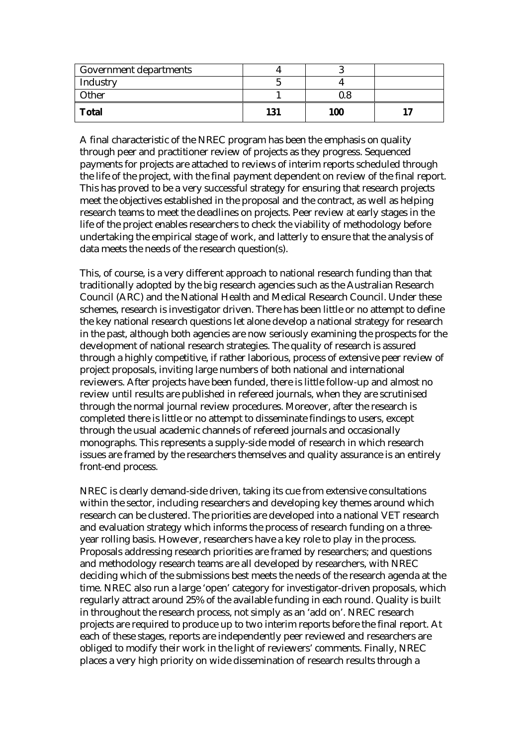| Government departments |     |     |  |
|------------------------|-----|-----|--|
| Industry               |     |     |  |
| <b>Other</b>           |     |     |  |
| <b>Total</b>           | 131 | 100 |  |

A final characteristic of the NREC program has been the emphasis on quality through peer and practitioner review of projects as they progress. Sequenced payments for projects are attached to reviews of interim reports scheduled through the life of the project, with the final payment dependent on review of the final report. This has proved to be a very successful strategy for ensuring that research projects meet the objectives established in the proposal and the contract, as well as helping research teams to meet the deadlines on projects. Peer review at early stages in the life of the project enables researchers to check the viability of methodology before undertaking the empirical stage of work, and latterly to ensure that the analysis of data meets the needs of the research question(s).

This, of course, is a very different approach to national research funding than that traditionally adopted by the big research agencies such as the Australian Research Council (ARC) and the National Health and Medical Research Council. Under these schemes, research is investigator driven. There has been little or no attempt to define the key national research questions let alone develop a national strategy for research in the past, although both agencies are now seriously examining the prospects for the development of national research strategies. The quality of research is assured through a highly competitive, if rather laborious, process of extensive peer review of project proposals, inviting large numbers of both national and international reviewers. After projects have been funded, there is little follow-up and almost no review until results are published in refereed journals, when they are scrutinised through the normal journal review procedures. Moreover, after the research is completed there is little or no attempt to disseminate findings to users, except through the usual academic channels of refereed journals and occasionally monographs. This represents a supply-side model of research in which research issues are framed by the researchers themselves and quality assurance is an entirely front-end process.

NREC is clearly demand-side driven, taking its cue from extensive consultations within the sector, including researchers and developing key themes around which research can be clustered. The priorities are developed into a national VET research and evaluation strategy which informs the process of research funding on a threeyear rolling basis. However, researchers have a key role to play in the process. Proposals addressing research priorities are framed by researchers; and questions and methodology research teams are all developed by researchers, with NREC deciding which of the submissions best meets the needs of the research agenda at the time. NREC also run a large 'open' category for investigator-driven proposals, which regularly attract around 25% of the available funding in each round. Quality is built in throughout the research process, not simply as an 'add on'. NREC research projects are required to produce up to two interim reports before the final report. At each of these stages, reports are independently peer reviewed and researchers are obliged to modify their work in the light of reviewers' comments. Finally, NREC places a very high priority on wide dissemination of research results through a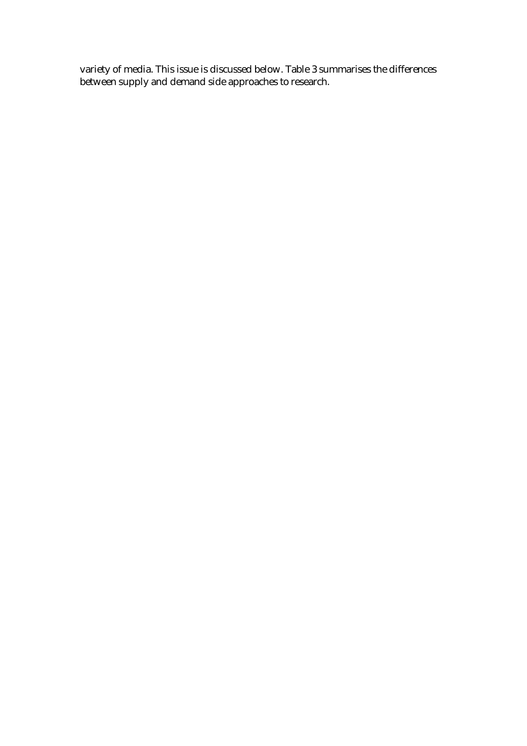variety of media. This issue is discussed below. Table 3 summarises the differences between supply and demand side approaches to research.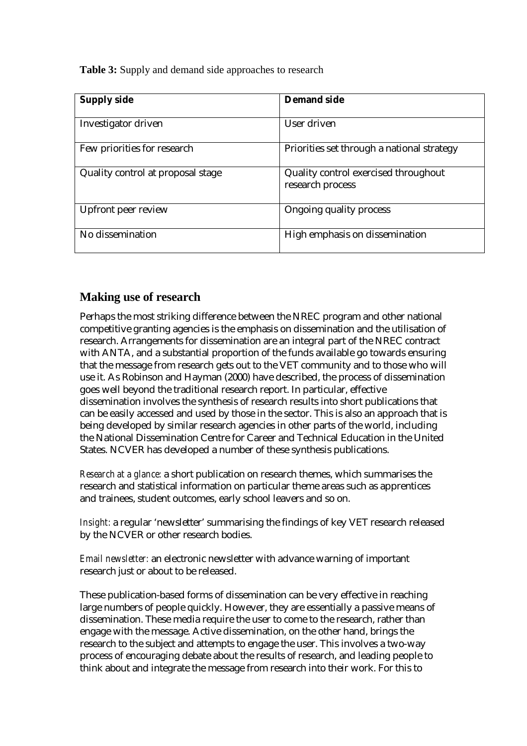**Table 3:** Supply and demand side approaches to research

| <b>Supply side</b>                | <b>Demand side</b>                                       |
|-----------------------------------|----------------------------------------------------------|
| Investigator driven               | User driven                                              |
| Few priorities for research       | Priorities set through a national strategy               |
| Quality control at proposal stage | Quality control exercised throughout<br>research process |
| <b>Upfront peer review</b>        | Ongoing quality process                                  |
| No dissemination                  | High emphasis on dissemination                           |

### **Making use of research**

Perhaps the most striking difference between the NREC program and other national competitive granting agencies is the emphasis on dissemination and the utilisation of research. Arrangements for dissemination are an integral part of the NREC contract with ANTA, and a substantial proportion of the funds available go towards ensuring that the message from research gets out to the VET community and to those who will use it. As Robinson and Hayman (2000) have described, the process of dissemination goes well beyond the traditional research report. In particular, effective dissemination involves the synthesis of research results into short publications that can be easily accessed and used by those in the sector. This is also an approach that is being developed by similar research agencies in other parts of the world, including the National Dissemination Centre for Career and Technical Education in the United States. NCVER has developed a number of these synthesis publications.

*Research at a glance:* a short publication on research themes, which summarises the research and statistical information on particular theme areas such as apprentices and trainees, student outcomes, early school leavers and so on.

*Insight:* a regular 'newsletter' summarising the findings of key VET research released by the NCVER or other research bodies.

*Email newsletter:* an electronic newsletter with advance warning of important research just or about to be released.

These publication-based forms of dissemination can be very effective in reaching large numbers of people quickly. However, they are essentially a passive means of dissemination. These media require the user to come to the research, rather than engage with the message. Active dissemination, on the other hand, brings the research to the subject and attempts to engage the user. This involves a two-way process of encouraging debate about the results of research, and leading people to think about and integrate the message from research into their work. For this to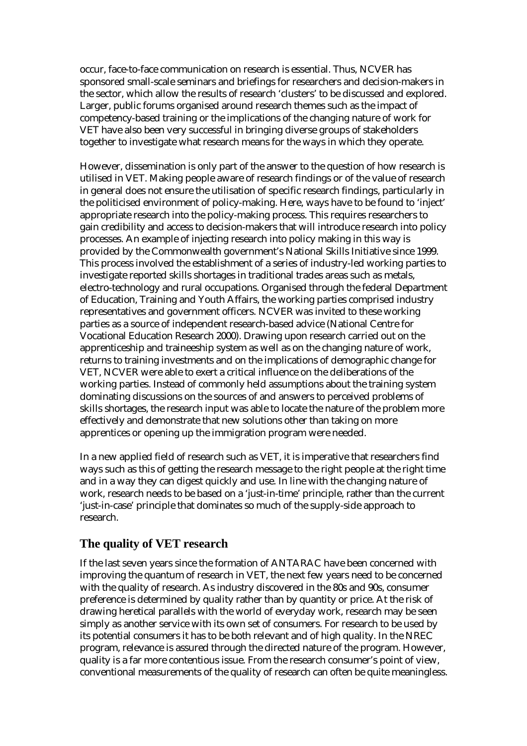occur, face-to-face communication on research is essential. Thus, NCVER has sponsored small-scale seminars and briefings for researchers and decision-makers in the sector, which allow the results of research 'clusters' to be discussed and explored. Larger, public forums organised around research themes such as the impact of competency-based training or the implications of the changing nature of work for VET have also been very successful in bringing diverse groups of stakeholders together to investigate what research means for the ways in which they operate.

However, dissemination is only part of the answer to the question of how research is utilised in VET. Making people aware of research findings or of the value of research in general does not ensure the utilisation of specific research findings, particularly in the politicised environment of policy-making. Here, ways have to be found to 'inject' appropriate research into the policy-making process. This requires researchers to gain credibility and access to decision-makers that will introduce research into policy processes. An example of injecting research into policy making in this way is provided by the Commonwealth government's National Skills Initiative since 1999. This process involved the establishment of a series of industry-led working parties to investigate reported skills shortages in traditional trades areas such as metals, electro-technology and rural occupations. Organised through the federal Department of Education, Training and Youth Affairs, the working parties comprised industry representatives and government officers. NCVER was invited to these working parties as a source of independent research-based advice (National Centre for Vocational Education Research 2000). Drawing upon research carried out on the apprenticeship and traineeship system as well as on the changing nature of work, returns to training investments and on the implications of demographic change for VET, NCVER were able to exert a critical influence on the deliberations of the working parties. Instead of commonly held assumptions about the training system dominating discussions on the sources of and answers to perceived problems of skills shortages, the research input was able to locate the nature of the problem more effectively and demonstrate that new solutions other than taking on more apprentices or opening up the immigration program were needed.

In a new applied field of research such as VET, it is imperative that researchers find ways such as this of getting the research message to the right people at the right time and in a way they can digest quickly and use. In line with the changing nature of work, research needs to be based on a 'just-in-time' principle, rather than the current 'just-in-case' principle that dominates so much of the supply-side approach to research.

#### **The quality of VET research**

If the last seven years since the formation of ANTARAC have been concerned with improving the quantum of research in VET, the next few years need to be concerned with the quality of research. As industry discovered in the 80s and 90s, consumer preference is determined by quality rather than by quantity or price. At the risk of drawing heretical parallels with the world of everyday work, research may be seen simply as another service with its own set of consumers. For research to be used by its potential consumers it has to be both relevant and of high quality. In the NREC program, relevance is assured through the directed nature of the program. However, quality is a far more contentious issue. From the research consumer's point of view, conventional measurements of the quality of research can often be quite meaningless.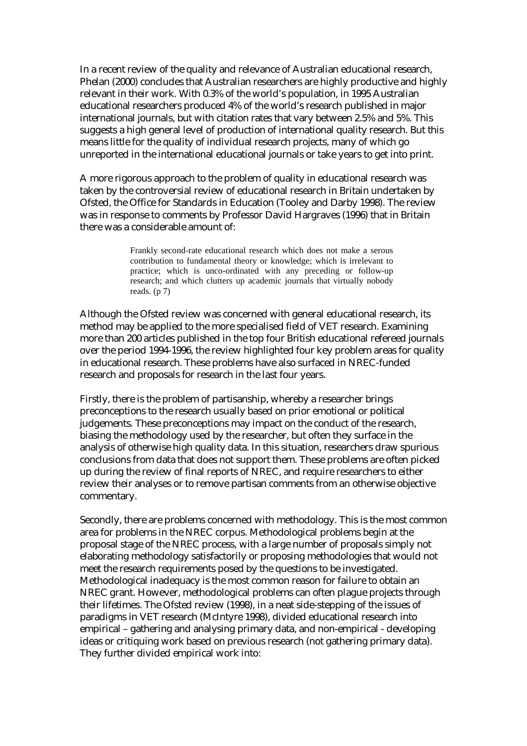In a recent review of the quality and relevance of Australian educational research, Phelan (2000) concludes that Australian researchers are highly productive and highly relevant in their work. With 0.3% of the world's population, in 1995 Australian educational researchers produced 4% of the world's research published in major international journals, but with citation rates that vary between 2.5% and 5%. This suggests a high general level of production of international quality research. But this means little for the quality of individual research projects, many of which go unreported in the international educational journals or take years to get into print.

A more rigorous approach to the problem of quality in educational research was taken by the controversial review of educational research in Britain undertaken by Ofsted, the Office for Standards in Education (Tooley and Darby 1998). The review was in response to comments by Professor David Hargraves (1996) that in Britain there was a considerable amount of:

> Frankly second-rate educational research which does not make a serous contribution to fundamental theory or knowledge; which is irrelevant to practice; which is unco-ordinated with any preceding or follow-up research; and which clutters up academic journals that virtually nobody reads.  $(p 7)$

Although the Ofsted review was concerned with general educational research, its method may be applied to the more specialised field of VET research. Examining more than 200 articles published in the top four British educational refereed journals over the period 1994-1996, the review highlighted four key problem areas for quality in educational research. These problems have also surfaced in NREC-funded research and proposals for research in the last four years.

Firstly, there is the problem of partisanship, whereby a researcher brings preconceptions to the research usually based on prior emotional or political judgements. These preconceptions may impact on the conduct of the research, biasing the methodology used by the researcher, but often they surface in the analysis of otherwise high quality data. In this situation, researchers draw spurious conclusions from data that does not support them. These problems are often picked up during the review of final reports of NREC, and require researchers to either review their analyses or to remove partisan comments from an otherwise objective commentary.

Secondly, there are problems concerned with methodology. This is the most common area for problems in the NREC corpus. Methodological problems begin at the proposal stage of the NREC process, with a large number of proposals simply not elaborating methodology satisfactorily or proposing methodologies that would not meet the research requirements posed by the questions to be investigated. Methodological inadequacy is the most common reason for failure to obtain an NREC grant. However, methodological problems can often plague projects through their lifetimes. The Ofsted review (1998), in a neat side-stepping of the issues of paradigms in VET research (McIntyre 1998), divided educational research into empirical – gathering and analysing primary data, and non-empirical - developing ideas or critiquing work based on previous research (not gathering primary data). They further divided empirical work into: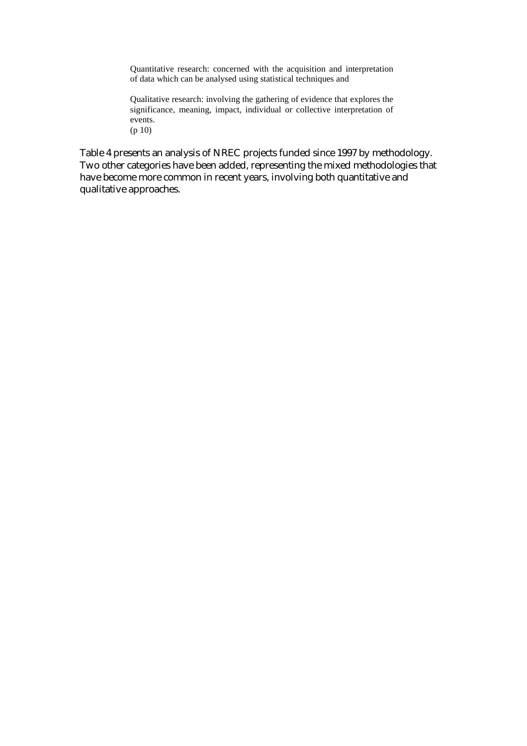Quantitative research: concerned with the acquisition and interpretation of data which can be analysed using statistical techniques and

Qualitative research: involving the gathering of evidence that explores the significance, meaning, impact, individual or collective interpretation of events. (p 10)

Table 4 presents an analysis of NREC projects funded since 1997 by methodology. Two other categories have been added, representing the mixed methodologies that have become more common in recent years, involving both quantitative and qualitative approaches.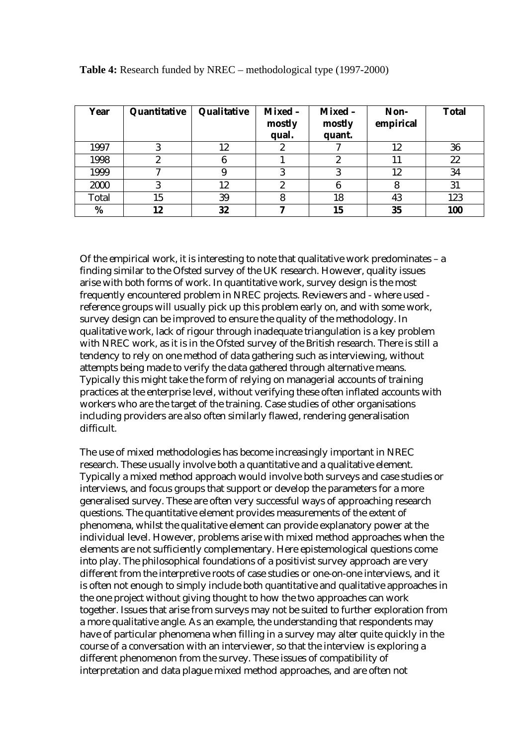| Year  | Quantitative | Qualitative | Mixed -<br>mostly<br>qual. | Mixed -<br>mostly<br>quant. | Non-<br>empirical | <b>Total</b> |
|-------|--------------|-------------|----------------------------|-----------------------------|-------------------|--------------|
| 1997  |              | 12          | 2                          |                             | 12                | 36           |
| 1998  |              |             |                            |                             |                   | 22           |
| 1999  |              |             |                            |                             | 12                | 34           |
| 2000  |              | 12          |                            |                             |                   | 31           |
| Total | 15           | 39          |                            | 18                          | 43                | 123          |
| %     | 12           | 32          |                            | 15                          | 35                | 100          |

**Table 4:** Research funded by NREC – methodological type (1997-2000)

Of the empirical work, it is interesting to note that qualitative work predominates – a finding similar to the Ofsted survey of the UK research. However, quality issues arise with both forms of work. In quantitative work, survey design is the most frequently encountered problem in NREC projects. Reviewers and - where used reference groups will usually pick up this problem early on, and with some work, survey design can be improved to ensure the quality of the methodology. In qualitative work, lack of rigour through inadequate triangulation is a key problem with NREC work, as it is in the Ofsted survey of the British research. There is still a tendency to rely on one method of data gathering such as interviewing, without attempts being made to verify the data gathered through alternative means. Typically this might take the form of relying on managerial accounts of training practices at the enterprise level, without verifying these often inflated accounts with workers who are the target of the training. Case studies of other organisations including providers are also often similarly flawed, rendering generalisation difficult.

The use of mixed methodologies has become increasingly important in NREC research. These usually involve both a quantitative and a qualitative element. Typically a mixed method approach would involve both surveys and case studies or interviews, and focus groups that support or develop the parameters for a more generalised survey. These are often very successful ways of approaching research questions. The quantitative element provides measurements of the extent of phenomena, whilst the qualitative element can provide explanatory power at the individual level. However, problems arise with mixed method approaches when the elements are not sufficiently complementary. Here epistemological questions come into play. The philosophical foundations of a positivist survey approach are very different from the interpretive roots of case studies or one-on-one interviews, and it is often not enough to simply include both quantitative and qualitative approaches in the one project without giving thought to how the two approaches can work together. Issues that arise from surveys may not be suited to further exploration from a more qualitative angle. As an example, the understanding that respondents may have of particular phenomena when filling in a survey may alter quite quickly in the course of a conversation with an interviewer, so that the interview is exploring a different phenomenon from the survey. These issues of compatibility of interpretation and data plague mixed method approaches, and are often not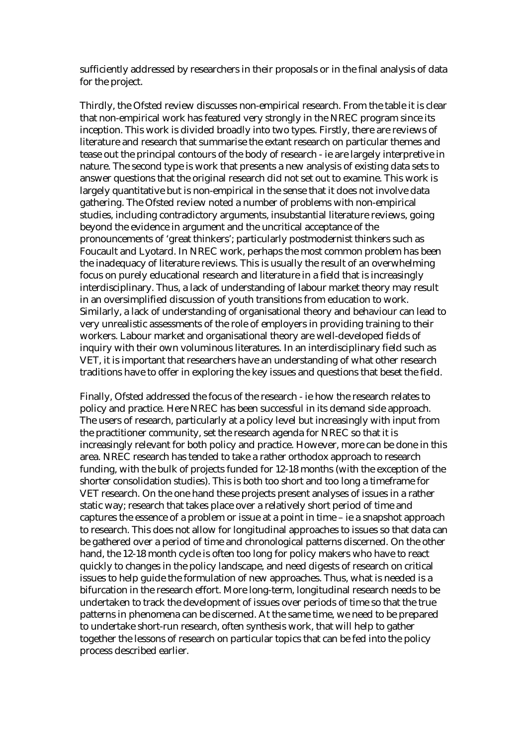sufficiently addressed by researchers in their proposals or in the final analysis of data for the project.

Thirdly, the Ofsted review discusses non-empirical research. From the table it is clear that non-empirical work has featured very strongly in the NREC program since its inception. This work is divided broadly into two types. Firstly, there are reviews of literature and research that summarise the extant research on particular themes and tease out the principal contours of the body of research - ie are largely interpretive in nature. The second type is work that presents a new analysis of existing data sets to answer questions that the original research did not set out to examine. This work is largely quantitative but is non-empirical in the sense that it does not involve data gathering. The Ofsted review noted a number of problems with non-empirical studies, including contradictory arguments, insubstantial literature reviews, going beyond the evidence in argument and the uncritical acceptance of the pronouncements of 'great thinkers'; particularly postmodernist thinkers such as Foucault and Lyotard. In NREC work, perhaps the most common problem has been the inadequacy of literature reviews. This is usually the result of an overwhelming focus on purely educational research and literature in a field that is increasingly interdisciplinary. Thus, a lack of understanding of labour market theory may result in an oversimplified discussion of youth transitions from education to work. Similarly, a lack of understanding of organisational theory and behaviour can lead to very unrealistic assessments of the role of employers in providing training to their workers. Labour market and organisational theory are well-developed fields of inquiry with their own voluminous literatures. In an interdisciplinary field such as VET, it is important that researchers have an understanding of what other research traditions have to offer in exploring the key issues and questions that beset the field.

Finally, Ofsted addressed the focus of the research - ie how the research relates to policy and practice. Here NREC has been successful in its demand side approach. The users of research, particularly at a policy level but increasingly with input from the practitioner community, set the research agenda for NREC so that it is increasingly relevant for both policy and practice. However, more can be done in this area. NREC research has tended to take a rather orthodox approach to research funding, with the bulk of projects funded for 12-18 months (with the exception of the shorter consolidation studies). This is both too short and too long a timeframe for VET research. On the one hand these projects present analyses of issues in a rather static way; research that takes place over a relatively short period of time and captures the essence of a problem or issue at a point in time – ie a snapshot approach to research. This does not allow for longitudinal approaches to issues so that data can be gathered over a period of time and chronological patterns discerned. On the other hand, the 12-18 month cycle is often too long for policy makers who have to react quickly to changes in the policy landscape, and need digests of research on critical issues to help guide the formulation of new approaches. Thus, what is needed is a bifurcation in the research effort. More long-term, longitudinal research needs to be undertaken to track the development of issues over periods of time so that the true patterns in phenomena can be discerned. At the same time, we need to be prepared to undertake short-run research, often synthesis work, that will help to gather together the lessons of research on particular topics that can be fed into the policy process described earlier.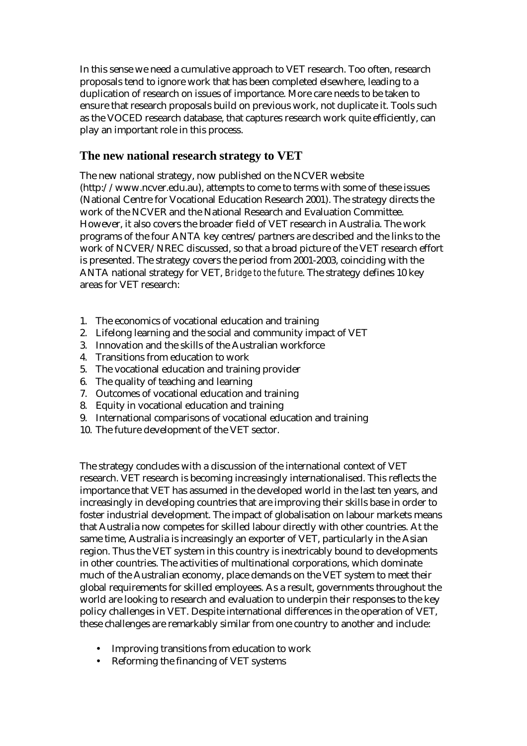In this sense we need a cumulative approach to VET research. Too often, research proposals tend to ignore work that has been completed elsewhere, leading to a duplication of research on issues of importance. More care needs to be taken to ensure that research proposals build on previous work, not duplicate it. Tools such as the VOCED research database, that captures research work quite efficiently, can play an important role in this process.

## **The new national research strategy to VET**

The new national strategy, now published on the NCVER website (http://www.ncver.edu.au), attempts to come to terms with some of these issues (National Centre for Vocational Education Research 2001). The strategy directs the work of the NCVER and the National Research and Evaluation Committee. However, it also covers the broader field of VET research in Australia. The work programs of the four ANTA key centres/partners are described and the links to the work of NCVER/NREC discussed, so that a broad picture of the VET research effort is presented. The strategy covers the period from 2001-2003, coinciding with the ANTA national strategy for VET, *Bridge to the future*. The strategy defines 10 key areas for VET research:

- 1. The economics of vocational education and training
- 2. Lifelong learning and the social and community impact of VET
- 3. Innovation and the skills of the Australian workforce
- 4. Transitions from education to work
- 5. The vocational education and training provider
- 6. The quality of teaching and learning
- 7. Outcomes of vocational education and training
- 8. Equity in vocational education and training
- 9. International comparisons of vocational education and training
- 10. The future development of the VET sector.

The strategy concludes with a discussion of the international context of VET research. VET research is becoming increasingly internationalised. This reflects the importance that VET has assumed in the developed world in the last ten years, and increasingly in developing countries that are improving their skills base in order to foster industrial development. The impact of globalisation on labour markets means that Australia now competes for skilled labour directly with other countries. At the same time, Australia is increasingly an exporter of VET, particularly in the Asian region. Thus the VET system in this country is inextricably bound to developments in other countries. The activities of multinational corporations, which dominate much of the Australian economy, place demands on the VET system to meet their global requirements for skilled employees. As a result, governments throughout the world are looking to research and evaluation to underpin their responses to the key policy challenges in VET. Despite international differences in the operation of VET, these challenges are remarkably similar from one country to another and include:

- Improving transitions from education to work
- Reforming the financing of VET systems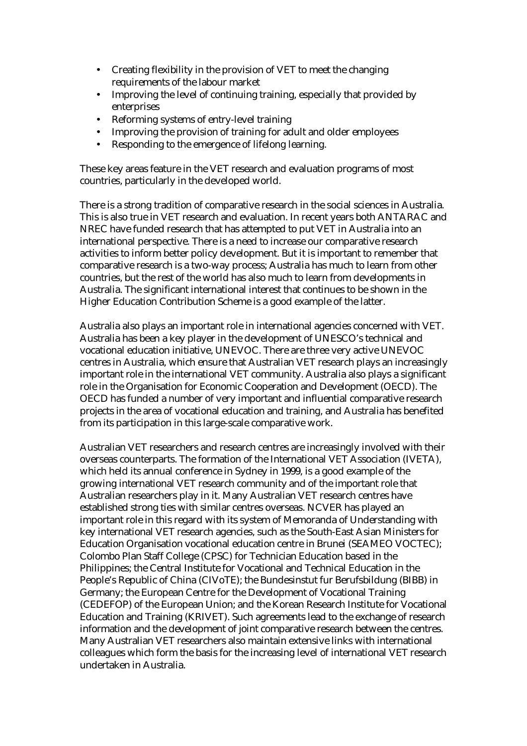- Creating flexibility in the provision of VET to meet the changing requirements of the labour market
- Improving the level of continuing training, especially that provided by enterprises
- Reforming systems of entry-level training
- Improving the provision of training for adult and older employees
- Responding to the emergence of lifelong learning.

These key areas feature in the VET research and evaluation programs of most countries, particularly in the developed world.

There is a strong tradition of comparative research in the social sciences in Australia. This is also true in VET research and evaluation. In recent years both ANTARAC and NREC have funded research that has attempted to put VET in Australia into an international perspective. There is a need to increase our comparative research activities to inform better policy development. But it is important to remember that comparative research is a two-way process; Australia has much to learn from other countries, but the rest of the world has also much to learn from developments in Australia. The significant international interest that continues to be shown in the Higher Education Contribution Scheme is a good example of the latter.

Australia also plays an important role in international agencies concerned with VET. Australia has been a key player in the development of UNESCO's technical and vocational education initiative, UNEVOC. There are three very active UNEVOC centres in Australia, which ensure that Australian VET research plays an increasingly important role in the international VET community. Australia also plays a significant role in the Organisation for Economic Cooperation and Development (OECD). The OECD has funded a number of very important and influential comparative research projects in the area of vocational education and training, and Australia has benefited from its participation in this large-scale comparative work.

Australian VET researchers and research centres are increasingly involved with their overseas counterparts. The formation of the International VET Association (IVETA), which held its annual conference in Sydney in 1999, is a good example of the growing international VET research community and of the important role that Australian researchers play in it. Many Australian VET research centres have established strong ties with similar centres overseas. NCVER has played an important role in this regard with its system of Memoranda of Understanding with key international VET research agencies, such as the South-East Asian Ministers for Education Organisation vocational education centre in Brunei (SEAMEO VOCTEC); Colombo Plan Staff College (CPSC) for Technician Education based in the Philippines; the Central Institute for Vocational and Technical Education in the People's Republic of China (CIVoTE); the Bundesinstut fur Berufsbildung (BIBB) in Germany; the European Centre for the Development of Vocational Training (CEDEFOP) of the European Union; and the Korean Research Institute for Vocational Education and Training (KRIVET). Such agreements lead to the exchange of research information and the development of joint comparative research between the centres. Many Australian VET researchers also maintain extensive links with international colleagues which form the basis for the increasing level of international VET research undertaken in Australia.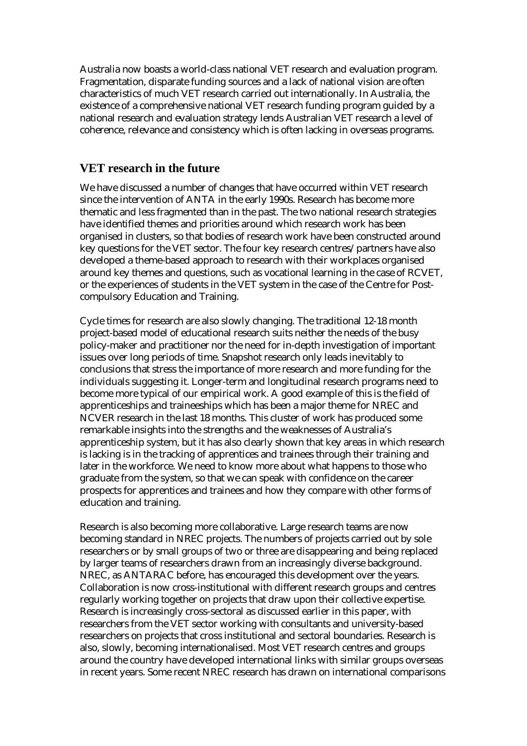Australia now boasts a world-class national VET research and evaluation program. Fragmentation, disparate funding sources and a lack of national vision are often characteristics of much VET research carried out internationally. In Australia, the existence of a comprehensive national VET research funding program guided by a national research and evaluation strategy lends Australian VET research a level of coherence, relevance and consistency which is often lacking in overseas programs.

#### **VET research in the future**

We have discussed a number of changes that have occurred within VET research since the intervention of ANTA in the early 1990s. Research has become more thematic and less fragmented than in the past. The two national research strategies have identified themes and priorities around which research work has been organised in clusters, so that bodies of research work have been constructed around key questions for the VET sector. The four key research centres/partners have also developed a theme-based approach to research with their workplaces organised around key themes and questions, such as vocational learning in the case of RCVET, or the experiences of students in the VET system in the case of the Centre for Postcompulsory Education and Training.

Cycle times for research are also slowly changing. The traditional 12-18 month project-based model of educational research suits neither the needs of the busy policy-maker and practitioner nor the need for in-depth investigation of important issues over long periods of time. Snapshot research only leads inevitably to conclusions that stress the importance of more research and more funding for the individuals suggesting it. Longer-term and longitudinal research programs need to become more typical of our empirical work. A good example of this is the field of apprenticeships and traineeships which has been a major theme for NREC and NCVER research in the last 18 months. This cluster of work has produced some remarkable insights into the strengths and the weaknesses of Australia's apprenticeship system, but it has also clearly shown that key areas in which research is lacking is in the tracking of apprentices and trainees through their training and later in the workforce. We need to know more about what happens to those who graduate from the system, so that we can speak with confidence on the career prospects for apprentices and trainees and how they compare with other forms of education and training.

Research is also becoming more collaborative. Large research teams are now becoming standard in NREC projects. The numbers of projects carried out by sole researchers or by small groups of two or three are disappearing and being replaced by larger teams of researchers drawn from an increasingly diverse background. NREC, as ANTARAC before, has encouraged this development over the years. Collaboration is now cross-institutional with different research groups and centres regularly working together on projects that draw upon their collective expertise. Research is increasingly cross-sectoral as discussed earlier in this paper, with researchers from the VET sector working with consultants and university-based researchers on projects that cross institutional and sectoral boundaries. Research is also, slowly, becoming internationalised. Most VET research centres and groups around the country have developed international links with similar groups overseas in recent years. Some recent NREC research has drawn on international comparisons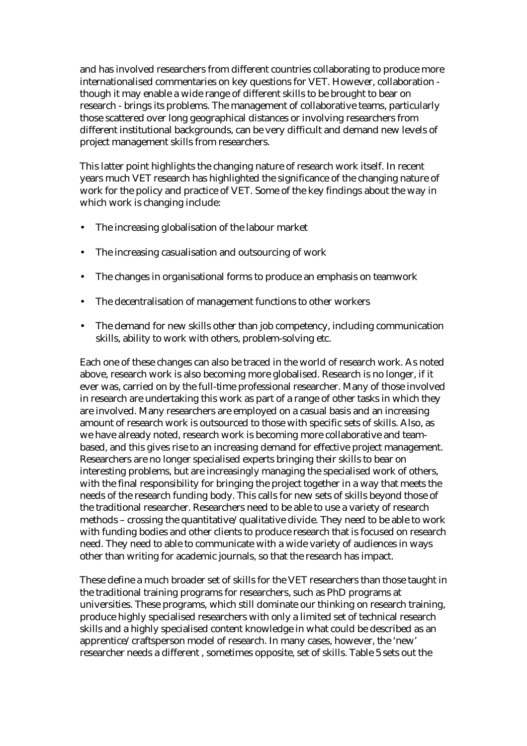and has involved researchers from different countries collaborating to produce more internationalised commentaries on key questions for VET. However, collaboration though it may enable a wide range of different skills to be brought to bear on research - brings its problems. The management of collaborative teams, particularly those scattered over long geographical distances or involving researchers from different institutional backgrounds, can be very difficult and demand new levels of project management skills from researchers.

This latter point highlights the changing nature of research work itself. In recent years much VET research has highlighted the significance of the changing nature of work for the policy and practice of VET. Some of the key findings about the way in which work is changing include:

- The increasing globalisation of the labour market
- The increasing casualisation and outsourcing of work
- The changes in organisational forms to produce an emphasis on teamwork
- The decentralisation of management functions to other workers
- The demand for new skills other than job competency, including communication skills, ability to work with others, problem-solving etc.

Each one of these changes can also be traced in the world of research work. As noted above, research work is also becoming more globalised. Research is no longer, if it ever was, carried on by the full-time professional researcher. Many of those involved in research are undertaking this work as part of a range of other tasks in which they are involved. Many researchers are employed on a casual basis and an increasing amount of research work is outsourced to those with specific sets of skills. Also, as we have already noted, research work is becoming more collaborative and teambased, and this gives rise to an increasing demand for effective project management. Researchers are no longer specialised experts bringing their skills to bear on interesting problems, but are increasingly managing the specialised work of others, with the final responsibility for bringing the project together in a way that meets the needs of the research funding body. This calls for new sets of skills beyond those of the traditional researcher. Researchers need to be able to use a variety of research methods – crossing the quantitative/qualitative divide. They need to be able to work with funding bodies and other clients to produce research that is focused on research need. They need to able to communicate with a wide variety of audiences in ways other than writing for academic journals, so that the research has impact.

These define a much broader set of skills for the VET researchers than those taught in the traditional training programs for researchers, such as PhD programs at universities. These programs, which still dominate our thinking on research training, produce highly specialised researchers with only a limited set of technical research skills and a highly specialised content knowledge in what could be described as an apprentice/craftsperson model of research. In many cases, however, the 'new' researcher needs a different , sometimes opposite, set of skills. Table 5 sets out the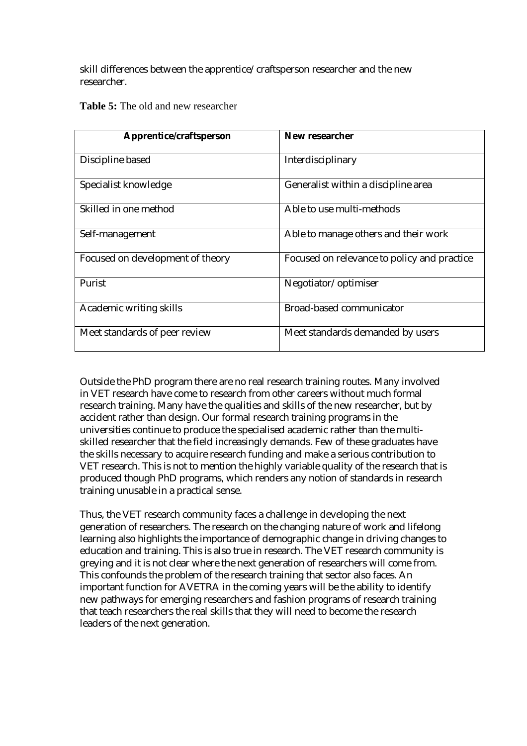skill differences between the apprentice/craftsperson researcher and the new researcher.

| Apprentice/craftsperson          | New researcher                              |
|----------------------------------|---------------------------------------------|
|                                  |                                             |
| Discipline based                 | Interdisciplinary                           |
|                                  |                                             |
| Specialist knowledge             | Generalist within a discipline area         |
|                                  |                                             |
| Skilled in one method            | Able to use multi-methods                   |
|                                  |                                             |
| Self-management                  | Able to manage others and their work        |
|                                  |                                             |
| Focused on development of theory | Focused on relevance to policy and practice |
|                                  |                                             |
| Purist                           | Negotiator/optimiser                        |
|                                  |                                             |
| Academic writing skills          | <b>Broad-based communicator</b>             |
|                                  |                                             |
| Meet standards of peer review    | Meet standards demanded by users            |
|                                  |                                             |

**Table 5:** The old and new researcher

Outside the PhD program there are no real research training routes. Many involved in VET research have come to research from other careers without much formal research training. Many have the qualities and skills of the new researcher, but by accident rather than design. Our formal research training programs in the universities continue to produce the specialised academic rather than the multiskilled researcher that the field increasingly demands. Few of these graduates have the skills necessary to acquire research funding and make a serious contribution to VET research. This is not to mention the highly variable quality of the research that is produced though PhD programs, which renders any notion of standards in research training unusable in a practical sense.

Thus, the VET research community faces a challenge in developing the next generation of researchers. The research on the changing nature of work and lifelong learning also highlights the importance of demographic change in driving changes to education and training. This is also true in research. The VET research community is greying and it is not clear where the next generation of researchers will come from. This confounds the problem of the research training that sector also faces. An important function for AVETRA in the coming years will be the ability to identify new pathways for emerging researchers and fashion programs of research training that teach researchers the real skills that they will need to become the research leaders of the next generation.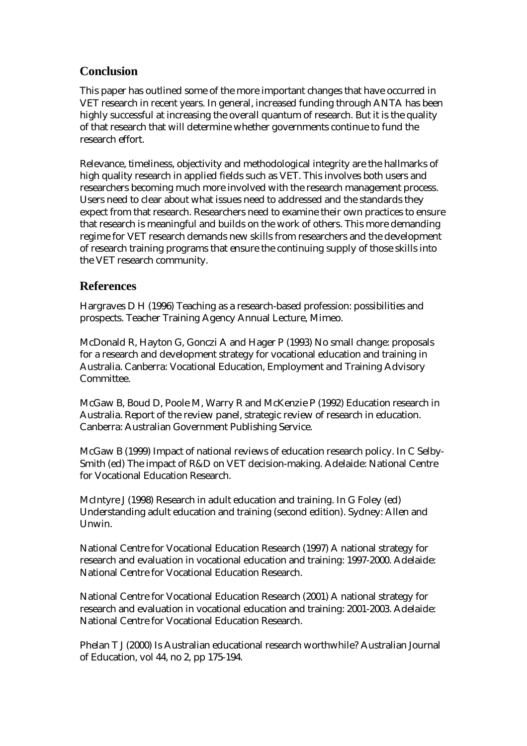### **Conclusion**

This paper has outlined some of the more important changes that have occurred in VET research in recent years. In general, increased funding through ANTA has been highly successful at increasing the overall quantum of research. But it is the quality of that research that will determine whether governments continue to fund the research effort.

Relevance, timeliness, objectivity and methodological integrity are the hallmarks of high quality research in applied fields such as VET. This involves both users and researchers becoming much more involved with the research management process. Users need to clear about what issues need to addressed and the standards they expect from that research. Researchers need to examine their own practices to ensure that research is meaningful and builds on the work of others. This more demanding regime for VET research demands new skills from researchers and the development of research training programs that ensure the continuing supply of those skills into the VET research community.

#### **References**

Hargraves D H (1996) Teaching as a research-based profession: possibilities and prospects. Teacher Training Agency Annual Lecture, Mimeo.

McDonald R, Hayton G, Gonczi A and Hager P (1993) No small change: proposals for a research and development strategy for vocational education and training in Australia. Canberra: Vocational Education, Employment and Training Advisory Committee.

McGaw B, Boud D, Poole M, Warry R and McKenzie P (1992) Education research in Australia. Report of the review panel, strategic review of research in education. Canberra: Australian Government Publishing Service.

McGaw B (1999) Impact of national reviews of education research policy. In C Selby-Smith (ed) The impact of R&D on VET decision-making. Adelaide: National Centre for Vocational Education Research.

McIntyre J (1998) Research in adult education and training. In G Foley (ed) Understanding adult education and training (second edition). Sydney: Allen and Unwin.

National Centre for Vocational Education Research (1997) A national strategy for research and evaluation in vocational education and training: 1997-2000. Adelaide: National Centre for Vocational Education Research.

National Centre for Vocational Education Research (2001) A national strategy for research and evaluation in vocational education and training: 2001-2003. Adelaide: National Centre for Vocational Education Research.

Phelan T J (2000) Is Australian educational research worthwhile? Australian Journal of Education, vol 44, no 2, pp 175-194.